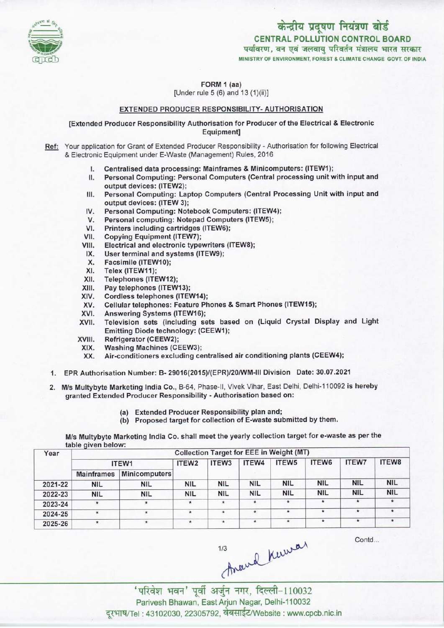

FORM 1 (aa) [Under rule 5 (6) and 13 (1)(ii)]

## EXTENDED PRODUCER RESPONSIBILITY- AUTHORISATION

[Extended Producer Responsibility Authorisation for Producer of the Electrical & Electronic Equipment]

Ref: Your application for Grant of Extended Producer Responsibility - Authorisation for following Electrical & Electronic Equipment under E-Waste (Management) Rules, 2016

- onic Equipment under E-Waste (Management) Rules, 2016<br>I. Centralised data processing: Mainframes & Minicomputers: (ITEW1);<br>I. Personal Computing: Personal Computers (Central processing unit )
- I. Centralised data processing: Mainframes & Minicomputers: (ITEW1);<br>II. Personal Computing: Personal Computers (Central processing unit with input and output devices: (ITEW2); II. Personal Computing: Personal Computers (Central processing unit with input and output devices: (ITEW2);<br>III. Personal Computing: Laptop Computers (Central Processing Unit with input and
- output devices: (ITEW 3); III. Personal Computing: Laptop Computers (Central Protection<br>IV. Personal Computing: Notebook Computers: (ITEW4);<br>M. Personal computing: Notebook Computers (ITEW4);
- 
- Surput devices: (ITEW 3);<br>V. Personal Computing: Notebook Computers: (ITEW<br>V. Personal computing: Notepad Computers (ITEWS); IV. Personal Computing: Notebook Comp<br>V. Personal computing: Notepad Compu<br>VI. Printers including cartridges (ITEW6);<br>/I. Conving Equipment (ITEW7);
- V. Personal computing: Notepa<br>VII. Copying Equipment (ITEW7);<br>VIII. Electrical and electronic type
- 
- VI. Printers including cartridges (ITEWS);<br>VIII. Copying Equipment (ITEW7);<br>VIII. Electrical and electronic typewriters (ITEW8);<br>IX. Hear terminal and evstems (ITEW9);
- III. Copying Equipment (TEW7);<br>III. Electrical and electronic typewriters<br>IX. User terminal and systems (ITEW9); VIII. Electrical and electronic typewriters<br>IX. User terminal and systems (ITEW9);<br>X. Facsimile (ITEW10);<br>XI. Telex (ITEW11);
- 
- 
- XI. Telex (ITEW11);<br>XII. Telephones (ITE
- XII. Telephones (ITEW12);<br>XIII. Pay telephones (ITEW
- XIII. Pay telephones (ITEW13);<br>XIV. Cordless telephones (ITEV
- XIV. Cordless telephones (ITEW14);<br>XV. Cellular telephones: Feature Ph XIV. Cordiess telephones (ITEW14);<br>XV. Cellular telephones: Feature Phones & Smart Phones (ITEW15);<br>XVI. Answering Systems (ITEW16);<br>XVII. Television, sets. (including, sets. based. on. (Liquid, Crystal.)
- 
- XVI. Answering Systems (ITEW16);<br>XVII. Television sets (including sets based on (Liquid Crystal Display and Light XVII. Television sets (including sets based)<br>Emitting Diode technology: (CEEW1);<br>XVIII. Refrigerator (CEEW2);<br>XIX. Washing Machines (CEEW3);
- 
- XVIII. Refrigerator (CEEW2);<br>XIX. Washing Machines (CEEW3);<br>XX. Air-conditioners excluding ce
- Air-conditioners excluding centralised air conditioning plants (CEEW4);
- 1.EPR Authorisation Number: B- 29016(2015)/(EPR)/20/WM-III Division Date: 30.07.2021
- 2.M/s Multybyte Marketing India Co., B-64, Phase-ll, Vivek Vihar, East Delhi. Delhi-110092 is hereby granted Extended Producer Responsibility - Authorisation based on:
	- (a)Extended Producer Responsibility plan and;
	- (b) Proposed target for collection of E-waste submitted by them.

M/s Multybyte Marketing India Co. shall meet the yearly collection target for e-waste as per the table given below:

| Year    | $\tilde{\phantom{a}}$<br><b>Collection Target for EEE in Weight (MT)</b> |                      |                   |                   |            |                   |            |              |            |  |  |
|---------|--------------------------------------------------------------------------|----------------------|-------------------|-------------------|------------|-------------------|------------|--------------|------------|--|--|
|         | ITEW1                                                                    |                      | ITEW <sub>2</sub> | ITEW <sub>3</sub> | ITEW4      | ITEW <sub>5</sub> | ITEW6      | <b>ITEW7</b> | ITEW8      |  |  |
|         | <b>Mainframes</b>                                                        | <b>Minicomputers</b> |                   |                   |            |                   |            |              |            |  |  |
| 2021-22 | <b>NIL</b>                                                               | <b>NIL</b>           | <b>NIL</b>        | <b>NIL</b>        | <b>NIL</b> | <b>NIL</b>        | <b>NIL</b> | <b>NIL</b>   | <b>NIL</b> |  |  |
| 2022-23 | <b>NIL</b>                                                               | <b>NIL</b>           | <b>NIL</b>        | <b>NIL</b>        | <b>NIL</b> | <b>NIL</b>        | <b>NIL</b> | <b>NIL</b>   | <b>NIL</b> |  |  |
| 2023-24 | $\star$                                                                  | $\star$              |                   | $\star$           | $\star$    | $\pmb{\ast}$      | $\star$    | $\star$      |            |  |  |
| 2024-25 | $\star$                                                                  | $\star$              | ٠                 | $\star$           | $\star$    | $\star$           | $\star$    | $\pmb{\ast}$ |            |  |  |
| 2025-26 | $^{\star}$                                                               | $\star$              |                   | $\star$           | $\star$    | $\star$           | $\star$    | $\star$      | ۰          |  |  |

Contd...

thand knowar

'परिवेश भवन' पूर्वी अर्जुन नगर, दिल्ली-110032<br>Parivesh Bhawan, East Arjun Nagar, Delhi-110032 दरभाष/Tel: 43102030, 22305792, वेबसाईट/Website : www.cpcb.nic.in

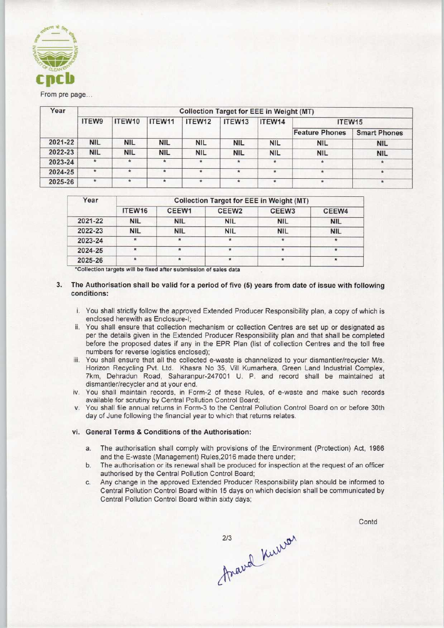

# From pre page..

| Year    | <b>Collection Target for EEE in Weight (MT)</b> |            |            |             |              |            |                       |                     |  |  |  |
|---------|-------------------------------------------------|------------|------------|-------------|--------------|------------|-----------------------|---------------------|--|--|--|
|         | <b>ITEW9</b>                                    | ITEW10     | ITEW11     | ITEW12      | ITEW13       | ITEW14     | ITEW15                |                     |  |  |  |
|         |                                                 |            |            |             |              |            | <b>Feature Phones</b> | <b>Smart Phones</b> |  |  |  |
| 2021-22 | <b>NIL</b>                                      | <b>NIL</b> | <b>NIL</b> | <b>NIL</b>  | <b>NIL</b>   | <b>NIL</b> | <b>NIL</b>            | <b>NIL</b>          |  |  |  |
| 2022-23 | <b>NIL</b>                                      | <b>NIL</b> | <b>NIL</b> | <b>NIL</b>  | <b>NIL</b>   | <b>NIL</b> | <b>NIL</b>            | <b>NIL</b>          |  |  |  |
| 2023-24 | $\star$                                         | *          | $\star$    | $\star$     | $\pmb{\ast}$ | $*$        | $\star$               | $\dot{\pi}$         |  |  |  |
| 2024-25 | $\star$                                         | $\star$    | $\ast$     | $\star$     | $\star$      | $\star$    |                       |                     |  |  |  |
| 2025-26 | $\star$                                         | ÷.         | *          | $\pmb{\pi}$ | ×.           | $\star$    | $\star$               |                     |  |  |  |

| Year    | <b>Collection Target for EEE in Weight (MT)</b> |            |                   |                   |            |  |  |  |  |
|---------|-------------------------------------------------|------------|-------------------|-------------------|------------|--|--|--|--|
|         | ITEW16                                          | CEEW1      | CEEW <sub>2</sub> | CEEW <sub>3</sub> | CEEW4      |  |  |  |  |
| 2021-22 | <b>NIL</b>                                      | <b>NIL</b> | <b>NIL</b>        | <b>NIL</b>        | <b>NIL</b> |  |  |  |  |
| 2022-23 | <b>NIL</b>                                      | <b>NIL</b> | <b>NIL</b>        | <b>NIL</b>        | <b>NIL</b> |  |  |  |  |
| 2023-24 |                                                 | $\star$    | $\star$           | $\star$           |            |  |  |  |  |
| 2024-25 | $\star$                                         | ∗          |                   |                   |            |  |  |  |  |
| 2025-26 | ٠                                               |            |                   | ₩                 | $\bullet$  |  |  |  |  |

\*Collection targets will be fixed after submission of sales data

### 3. The Authorisation shall be valid for a period of five (5) years from date of issue with following conditions:

- i. You shall strictly follow the approved Extended Producer Responsibility plan, a copy of which is enclosed herewith as Enclosure-I:
- ii. You shall ensure that collection mechanism or collection Centres are set up or designated as per the details given in the Extended Producer Responsibility plan and that shall be completed before the proposed dates if any in the EPR Plan (list of collection Centres and the toll free numbers for reverse logistics enclosed);
- iii. You shall ensure that all the collected e-waste is channelized to your dismantler/recycler M/s. Horizon Recycling Pvt. Ltd. Khasra No 35, VIII Kumarhera, Green Land Industrial Complex, 7km, Dehradun Road, Saharanpur-247001 U. P. and record shall be maintained at dismantler/recycler and at your end.
- iv. You shall maintain records, in Form-2 of these Rules, of e-waste and make such records available for scrutiny by Central Pollution Control Board;
- v. You shall file annual returns in Form-3 to the Central Pollution Control Board on or before 30th day of June following the financial year to which that returns relates.

## vi. General Terms & Conditions of the Authorisation:

- a.The authorisation shall comply with provisions of the Environment (Protection) Act, <sup>1986</sup> and the E-waste (Management) Rules,2016 made there under;
- b.The authorisation or its renewal shall be produced for inspection at the request of an officer authorised by the Central Pollution Control Board;
- c.Any change in the approved Extended Producer Responsibility plan should be informed to Central Pollution Control Board within 15 days on which decision shall be communicated by Central Pollution Control Board within sixty days;

Contd

2/3 Kurron